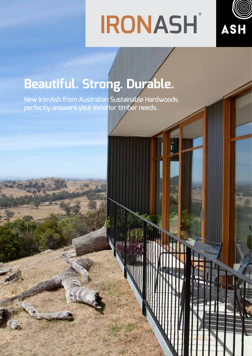# **IRONASH**



# **Beautiful. Strong. Durable.**

New IronAsh from Australian Sustainable Hardwoods perfectly answers your exterior timber needs.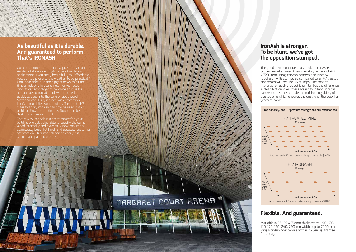#### **As beautiful as it is durable. And guaranteed to perform. That's IRONASH.**

Our competitors sometimes argue that Victorian Ash is not durable enough for use in external applications. Exquisitely beautiful, yes. Affordable, yes. But too prone to the weather to be practical? Until now, that is. In the biggest news to hit the timber industry in years, new IronAsh uses innovative technology to combine an invisible and unique combination of water-based additives deep into the core of GoodWood Victorian Ash. Fully infused with protection, IronAsh multiplies your choices. Treated to H3 classification, IronAsh can now be used in any build to allow the continuous flow of timber design from inside to out.

That's why IronAsh is a great choice for your building project: being able to specify the same wood internally and externally now ensures a seamlessly beautiful finish and absolute customer satisfaction. Plus IronAsh can be easily cut, stained and painted on site.

#### **IronAsh is stronger. To be blunt, we've got the opposition stumped.**

#### **Flexible. And guaranteed.**

The good news continues. Just look at IronAsh's properties when used in sub decking : a deck of 4800 x 7200mm using IronAsh bearers and joists will require only 15 stumps as compared to an F7 treated pine which will require 35 stumps. The cost of material for each product is similar but the difference is clear. Not only will this save a day in labour but a hardwood joist has double the nail holding ability of treated pine which ensures the quality of the deck for years to come.

Available in 35, 45 & 70mm thicknesses x 90, 120, 140, 170, 190, 240, 290mm widths up to 7200mm long, IronAsh now comes with a 25 year guarantee for decay.

# MARGARET COURT ARENA



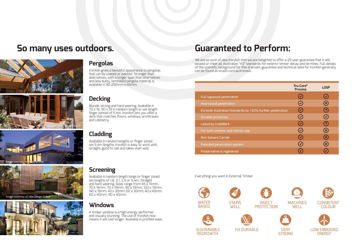## **So many uses outdoors. Guaranteed to Perform:**



#### **Pergolas**

IronAsh gives a beautiful appearance to pergolas that can be stained or painted. Stronger than alternatives, with a longer span than alternatives and less bulky, laminated pergola material is available in 90-290mm x 45mm.

We are so sure of new IronAsh that we are delighted to offer a 25 year guarantee that it will exceed or meet all Australian "H3" standards for exterior timber decay and termites. Full details of the scientific background for this dramatic guarantee and technical data for IronAsh generally can be found at vicash.com.au/ironash.

Everything you want in External Timber











**REGROWTH** 



|             | <b>Tru-Core®</b><br><b>Process</b> | <b>LOSP</b>           |
|-------------|------------------------------------|-----------------------|
|             | $\blacklozenge$                    | $\checkmark$          |
|             | $\bigcirc$                         | $\mathbf{x}$          |
| penetration | $\blacktriangledown$               | <u>?</u>              |
|             | $\mathcal{C}$                      | $\blacktriangledown$  |
|             | $\bigvee$                          | 3                     |
|             | Z                                  | $\left[\times\right]$ |
|             | $\blacktriangledown$               | $\mathbf{x}$          |
|             | $\blacktriangledown$               | $\mathbf{x}$          |
|             |                                    |                       |



#### Full sapwood penetration

Heartwood penetration

Exceeds Australian Standards by +20% furthe

Durable protection

Listed by CodeMark

For both exterior and interior use

Non Solvent Carrier

Patented penetration system

Preservative is registered

#### **Screening**

Available in random length longs or finger joined set lengths of 1.8, 2.1, 2.4 or 5.4m. Straight and hard wearing. Sizes range from 45 x 14mm, 70 x 14mm, 70 x 19mm, 90 x 19mm, 120 x 19mm, 140 x 19mm, 40 x 30mm, 60 x 30mm, 40 x 40mm, 60 x 40mm, 90 x 40mm.

#### **Windows**

A timber window is a high energy performer and visually stunning. The use of IronAsh now means it will last longer. Available in profiled sizes.

#### **Cladding**

Available in random lengths or finger joined set 5.4m lengths, IronAsh is easy to work with, straight, good to nail and takes stain well.

#### **Decking**

Blonde, strong and hard wearing. Available in 70 x 19, 90 x 19 in random length or set length finger jointed of 5.4m, IronAsh lets you offer a deck that matches floors, windows, architraves and cabinetry.





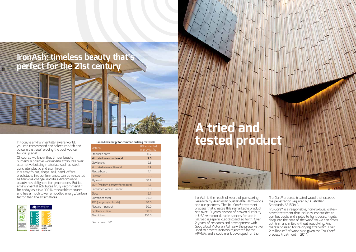

In today's environmentally aware world, be sure that you're doing the best you can for our planet.

Of course we know that timber boasts numerous positive workability attributes over alternative building materials such as steel, concrete, plastic and aluminium. It is easy to cut, shape, nail, bend, offers predictable fire performance, can be re-coated as fashions change, and its extraordinary beauty has delighted for generations. But its environmental attributes truly recommend it for today as it is a 100% renewable resource, and has a much lower embodied energy/carbon factor than the alternatives.



**Embodied energy for common building materials**

| Material                        | PER embodied<br>energy MJ/kg |
|---------------------------------|------------------------------|
| Stabilised earth                | 0.7                          |
| Kiln dried sawn hardwood        | 2.0                          |
| Clay bricks                     | 2.5                          |
| Kiln dried sawn softwood        | 3.4                          |
| Plasterboard                    | 4.4                          |
| Cement                          | 5.6                          |
| Plywood                         | 10.4                         |
| MDF (medium density fibreboard) | 11.3                         |
| Laminated veneer lumber         | 11.0                         |
| Glass                           | 12.7                         |
| Galvanised steel                | 38.0                         |
| PVC (polyvinyl chloride)        | 80.0                         |
| Plastics - general              | 90.0                         |
| Synthetic rubber                | 110.0                        |
| Aluminium                       | 170.0                        |

Source: Lawson 1996

### **IronAsh: timeless beauty that's perfect for the 21st century**

IronAsh is the result of years of painstaking research by Australian Sustainable Hardwoods and our partners. The Tru-Core**®** treatment process that creates this remarkable product has over 10 years history of proven durability in USA with non-durable species for use in railroad sleepers, cladding and so forth. Over 2 years of research and development with GoodWood Victorian Ash saw the preservative used to protect IronAsh registered by the APVMA, and a code mark developed for the

Tru-Core**®** process treated wood that exceeds the penetration required by Australian Standards AS1604-1.

Tru-Core**®** is a responsible, non-noxious, waterbased treatment that includes insecticides to combat pests and azoles to fight decay. It gets deep into the core of the wood so we can cross cut, trim and mitre without reapplying. And there's no need for re-drying afterward. Over 2 million m³ of wood was given the Tru-Core**®** process treatment in 2014.